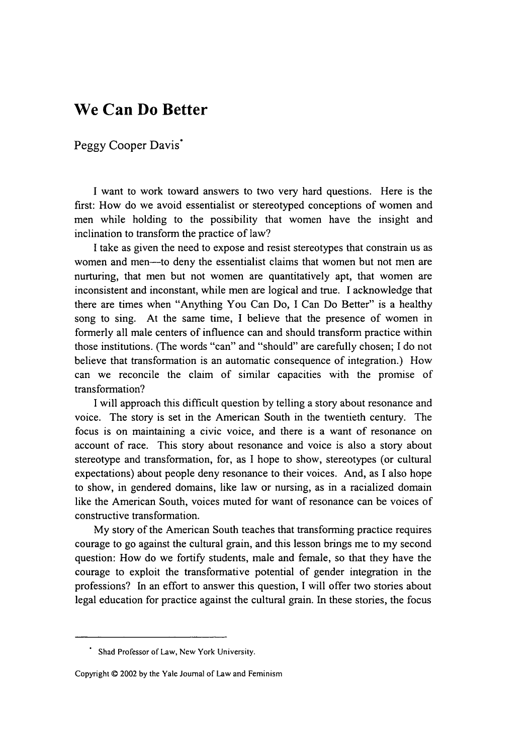## **We Can Do Better**

## Peggy Cooper Davis<sup>\*</sup>

I want to work toward answers to two very hard questions. Here is the first: How do we avoid essentialist or stereotyped conceptions of women and men while holding to the possibility that women have the insight and inclination to transform the practice of law?

I take as given the need to expose and resist stereotypes that constrain us as women and men-to deny the essentialist claims that women but not men are nurturing, that men but not women are quantitatively apt, that women are inconsistent and inconstant, while men are logical and true. I acknowledge that there are times when "Anything You Can Do, I Can Do Better" is a healthy song to sing. At the same time, I believe that the presence of women in formerly all male centers of influence can and should transform practice within those institutions. (The words "can" and "should" are carefully chosen; I do not believe that transformation is an automatic consequence of integration.) How can we reconcile the claim of similar capacities with the promise of transformation?

I will approach this difficult question by telling a story about resonance and voice. The story is set in the American South in the twentieth century. The focus is on maintaining a civic voice, and there is a want of resonance on account of race. This story about resonance and voice is also a story about stereotype and transformation, for, as I hope to show, stereotypes (or cultural expectations) about people deny resonance to their voices. And, as I also hope to show, in gendered domains, like law or nursing, as in a racialized domain like the American South, voices muted for want of resonance can be voices of constructive transformation.

My story of the American South teaches that transforming practice requires courage to go against the cultural grain, and this lesson brings me to my second question: How do we fortify students, male and female, so that they have the courage to exploit the transformative potential of gender integration in the professions? In an effort to answer this question, I will offer two stories about legal education for practice against the cultural grain. In these stories, the focus

Shad Professor of Law, New York University.

Copyright © 2002 by the Yale Journal of Law and Feminism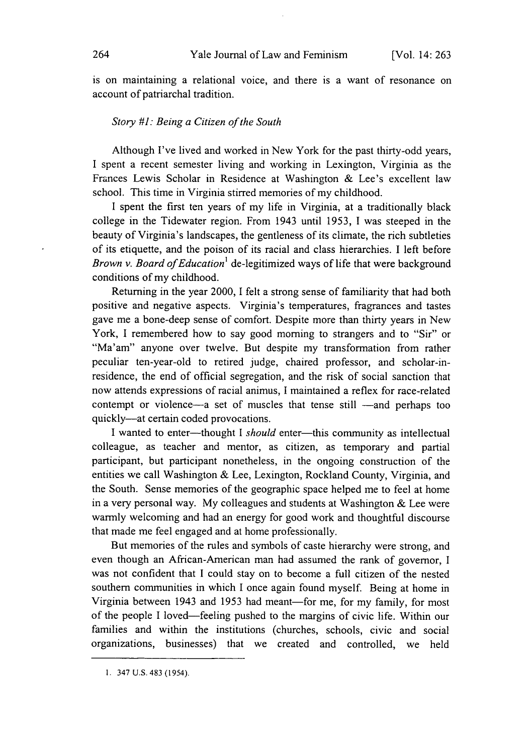is on maintaining a relational voice, and there is a want of resonance on account of patriarchal tradition.

## *Story #1: Being a Citizen of the South*

Although I've lived and worked in New York for the past thirty-odd years, I spent a recent semester living and working in Lexington, Virginia as the Frances Lewis Scholar in Residence at Washington & Lee's excellent law school. This time in Virginia stirred memories of my childhood.

I spent the first ten years of my life in Virginia, at a traditionally black college in the Tidewater region. From 1943 until 1953, I was steeped in the beauty of Virginia's landscapes, the gentleness of its climate, the rich subtleties of its etiquette, and the poison of its racial and class hierarchies. I left before *Brown v. Board of Education'* de-legitimized ways of life that were background conditions of my childhood.

Returning in the year 2000, I felt a strong sense of familiarity that had both positive and negative aspects. Virginia's temperatures, fragrances and tastes gave me a bone-deep sense of comfort. Despite more than thirty years in New York, I remembered how to say good morning to strangers and to "Sir" or "Ma'am" anyone over twelve. But despite my transformation from rather peculiar ten-year-old to retired judge, chaired professor, and scholar-inresidence, the end of official segregation, and the risk of social sanction that now attends expressions of racial animus, I maintained a reflex for race-related contempt or violence-a set of muscles that tense still -and perhaps too quickly-at certain coded provocations.

I wanted to enter-thought I *should* enter-this community as intellectual colleague, as teacher and mentor, as citizen, as temporary and partial participant, but participant nonetheless, in the ongoing construction of the entities we call Washington & Lee, Lexington, Rockland County, Virginia, and the South. Sense memories of the geographic space helped me to feel at home in a very personal way. My colleagues and students at Washington & Lee were warmly welcoming and had an energy for good work and thoughtful discourse that made me feel engaged and at home professionally.

But memories of the rules and symbols of caste hierarchy were strong, and even though an African-American man had assumed the rank of governor, I was not confident that I could stay on to become a full citizen of the nested southern communities in which I once again found myself. Being at home in Virginia between 1943 and 1953 had meant-for me, for my family, for most of the people I loved-feeling pushed to the margins of civic life. Within our families and within the institutions (churches, schools, civic and social organizations, businesses) that we created and controlled, we held

<sup>1. 347</sup> U.S. 483 (1954).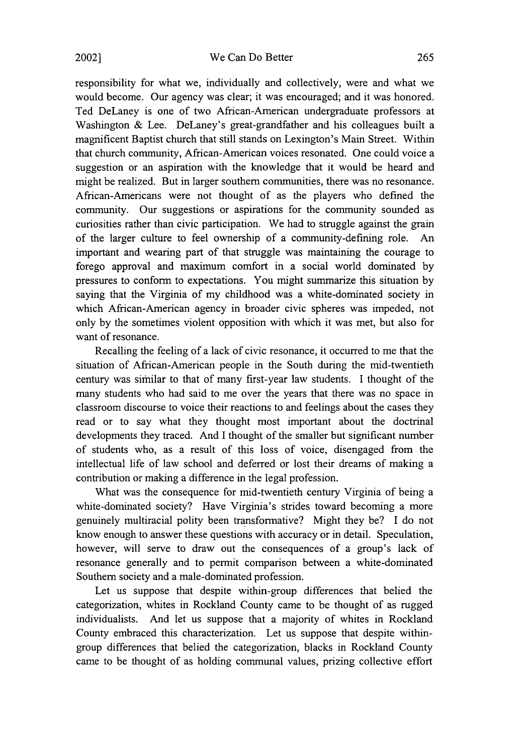responsibility for what we, individually and collectively, were and what we would become. Our agency was clear; it was encouraged; and it was honored. Ted DeLaney is one of two African-American undergraduate professors at Washington & Lee. DeLaney's great-grandfather and his colleagues built a magnificent Baptist church that still stands on Lexington's Main Street. Within that church community, African-American voices resonated. One could voice a suggestion or an aspiration with the knowledge that it would be heard and might be realized. But in larger southern communities, there was no resonance. African-Americans were not thought of as the players who defined the community. Our suggestions or aspirations for the community sounded as curiosities rather than civic participation. We had to struggle against the grain of the larger culture to feel ownership of a community-defining role. An important and wearing part of that struggle was maintaining the courage to forego approval and maximum comfort in a social world dominated by pressures to conform to expectations. You might summarize this situation by saying that the Virginia of my childhood was a white-dominated society in which African-American agency in broader civic spheres was impeded, not only by the sometimes violent opposition with which it was met, but also for want of resonance.

Recalling the feeling of a lack of civic resonance, it occurred to me that the situation of African-American people in the South during the mid-twentieth century was similar to that of many first-year law students. I thought of the many students who had said to me over the years that there was no space in classroom discourse to voice their reactions to and feelings about the cases they read or to say what they thought most important about the doctrinal developments they traced. And I thought of the smaller but significant number of students who, as a result of this loss of voice, disengaged from the intellectual life of law school and deferred or lost their dreams of making a contribution or making a difference in the legal profession.

What was the consequence for mid-twentieth century Virginia of being a white-dominated society? Have Virginia's strides toward becoming a more genuinely multiracial polity been transformative? Might they be? I do not know enough to answer these questions with accuracy or in detail. Speculation, however, will serve to draw out the consequences of a group's lack of resonance generally and to permit comparison between a white-dominated Southern society and a male-dominated profession.

Let us suppose that despite within-group differences that belied the categorization, whites in Rockland County came to be thought of as rugged individualists. And let us suppose that a majority of whites in Rockland County embraced this characterization. Let us suppose that despite withingroup differences that belied the categorization, blacks in Rockland County came to be thought of as holding communal values, prizing collective effort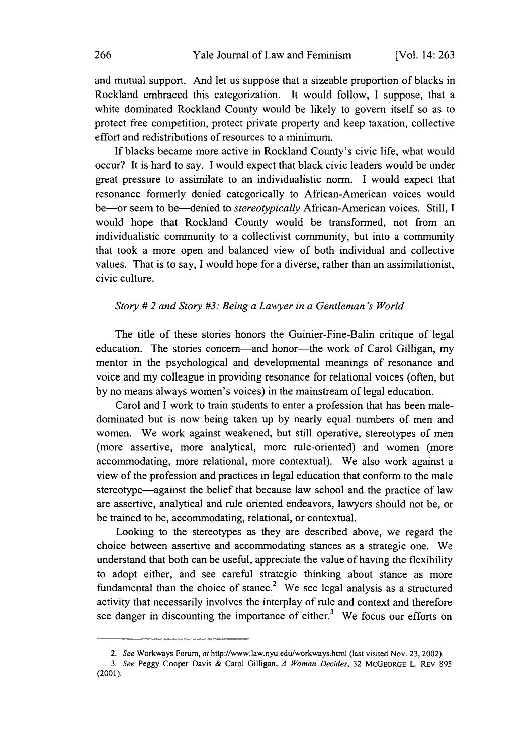and mutual support. And let us suppose that a sizeable proportion of blacks in Rockland embraced this categorization. It would follow, I suppose, that a white dominated Rockland County would be likely to govern itself so as to protect free competition, protect private property and keep taxation, collective effort and redistributions of resources to a minimum.

If blacks became more active in Rockland County's civic life, what would occur? It is hard to say. I would expect that black civic leaders would be under great pressure to assimilate to an individualistic norm. I would expect that resonance formerly denied categorically to African-American voices would be-or seem to be-denied to *stereotypically* African-American voices. Still, I would hope that Rockland County would be transformed, not from an individualistic community to a collectivist community, but into a community that took a more open and balanced view of both individual and collective values. That is to say, I would hope for a diverse, rather than an assimilationist, civic culture.

## *Story # 2 and Story #3: Being a Lawyer in a Gentleman's World*

The title of these stories honors the Guinier-Fine-Balin critique of legal education. The stories concern—and honor—the work of Carol Gilligan, my mentor in the psychological and developmental meanings of resonance and voice and my colleague in providing resonance for relational voices (often, but by no means always women's voices) in the mainstream of legal education.

Carol and I work to train students to enter a profession that has been maledominated but is now being taken up by nearly equal numbers of men and women. We work against weakened, but still operative, stereotypes of men (more assertive, more analytical, more rule-oriented) and women (more accommodating, more relational, more contextual). We also work against a view of the profession and practices in legal education that conform to the male stereotype—against the belief that because law school and the practice of law are assertive, analytical and rule oriented endeavors, lawyers should not be, or be trained to be, accommodating, relational, or contextual.

Looking to the stereotypes as they are described above, we regard the choice between assertive and accommodating stances as a strategic one. We understand that both can be useful, appreciate the value of having the flexibility to adopt either, and see careful strategic thinking about stance as more fundamental than the choice of stance.<sup>2</sup> We see legal analysis as a structured activity that necessarily involves the interplay of rule and context and therefore see danger in discounting the importance of either.<sup>3</sup> We focus our efforts on

<sup>2.</sup> *See* Workways Forum, at http://www.law.nyu.edu/workways.html (last visited Nov. 23, 2002).

<sup>3.</sup> *See* Peggy Cooper Davis & Carol Gilligan, *A Woman Decides,* 32 McGEORGE L. REv 895 (2001).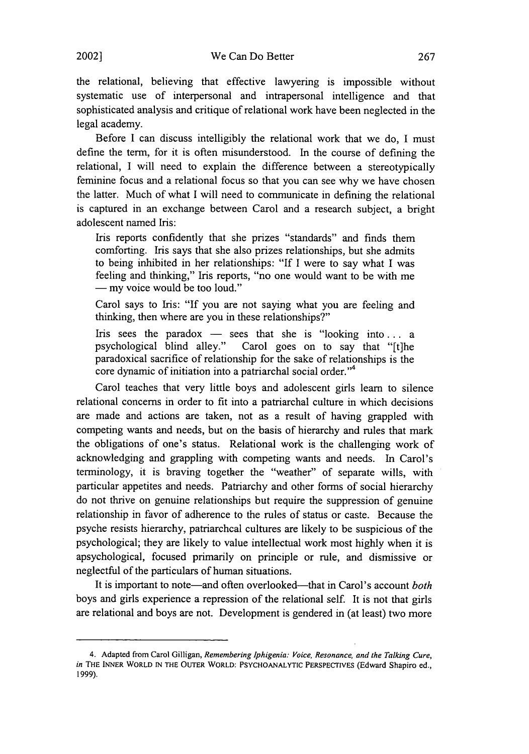the relational, believing that effective lawyering is impossible without systematic use of interpersonal and intrapersonal intelligence and that sophisticated analysis and critique of relational work have been neglected in the legal academy.

Before I can discuss intelligibly the relational work that we do, I must define the term, for it is often misunderstood. In the course of defining the relational, I will need to explain the difference between a stereotypically feminine focus and a relational focus so that you can see why we have chosen the latter. Much of what I will need to communicate in defining the relational is captured in an exchange between Carol and a research subject, a bright adolescent named Iris:

Iris reports confidently that she prizes "standards" and finds them comforting. Iris says that she also prizes relationships, but she admits to being inhibited in her relationships: "If I were to say what I was feeling and thinking," Iris reports, "no one would want to be with me **-** my voice would be too loud."

Carol says to Iris: "If you are not saying what you are feeling and thinking, then where are you in these relationships?"

Iris sees the paradox — sees that she is "looking into... a psychological blind alley." Carol goes on to say that "It the Carol goes on to say that "[t]he paradoxical sacrifice of relationship for the sake of relationships is the core dynamic of initiation into a patriarchal social order."4

Carol teaches that very little boys and adolescent girls learn to silence relational concerns in order to fit into a patriarchal culture in which decisions are made and actions are taken, not as a result of having grappled with competing wants and needs, but on the basis of hierarchy and rules that mark the obligations of one's status. Relational work is the challenging work of acknowledging and grappling with competing wants and needs. In Carol's terminology, it is braving together the "weather" of separate wills, with particular appetites and needs. Patriarchy and other forms of social hierarchy do not thrive on genuine relationships but require the suppression of genuine relationship in favor of adherence to the rules of status or caste. Because the psyche resists hierarchy, patriarchcal cultures are likely to be suspicious of the psychological; they are likely to value intellectual work most highly when it is apsychological, focused primarily on principle or rule, and dismissive or neglectful of the particulars of human situations.

It is important to note—and often overlooked—that in Carol's account *both* boys and girls experience a repression of the relational self. It is not that girls are relational and boys are not. Development is gendered in (at least) two more

<sup>4.</sup> Adapted from Carol Gilligan, *Remembering Iphigenia: Voice, Resonance, and the Talking Cure, in* THE **INNER** WORLD IN THE OUTER WORLD: **PSYCHOANALYTIC** PERSPECTIVES (Edward Shapiro ed., 1999).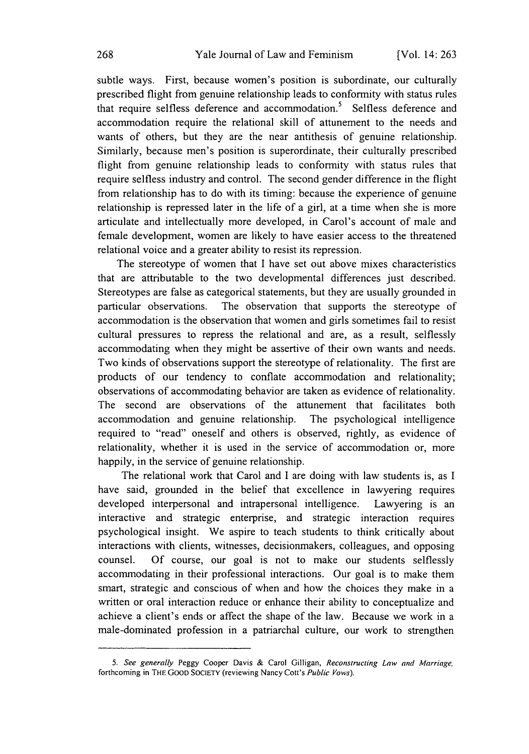subtle ways. First, because women's position is subordinate, our culturally prescribed flight from genuine relationship leads to conformity with status rules that require selfless deference and accommodation.<sup>5</sup> Selfless deference and accommodation require the relational skill of attunement to the needs and wants of others, but they are the near antithesis of genuine relationship. Similarly, because men's position is superordinate, their culturally prescribed flight from genuine relationship leads to conformity with status rules that require selfless industry and control. The second gender difference in the flight from relationship has to do with its timing: because the experience of genuine relationship is repressed later in the life of a girl, at a time when she is more articulate and intellectually more developed, in Carol's account of male and female development, women are likely to have easier access to the threatened relational voice and a greater ability to resist its repression.

The stereotype of women that I have set out above mixes characteristics that are attributable to the two developmental differences just described. Stereotypes are false as categorical statements, but they are usually grounded in particular observations. The observation that supports the stereotype of accommodation is the observation that women and girls sometimes fail to resist cultural pressures to repress the relational and are, as a result, selflessly accommodating when they might be assertive of their own wants and needs. Two kinds of observations support the stereotype of relationality. The first are products of our tendency to conflate accommodation and relationality; observations of accommodating behavior are taken as evidence of relationality. The second are observations of the attunement that facilitates both accommodation and genuine relationship. The psychological intelligence required to "read" oneself and others is observed, rightly, as evidence of relationality, whether it is used in the service of accommodation or, more happily, in the service of genuine relationship.

The relational work that Carol and I are doing with law students is, as I have said, grounded in the belief that excellence in lawyering requires developed interpersonal and intrapersonal intelligence. Lawyering is an interactive and strategic enterprise, and strategic interaction requires psychological insight. We aspire to teach students to think critically about interactions with clients, witnesses, decisionmakers, colleagues, and opposing counsel. Of course, our goal is not to make our students selflessly accommodating in their professional interactions. Our goal is to make them smart, strategic and conscious of when and how the choices they make in a written or oral interaction reduce or enhance their ability to conceptualize and achieve a client's ends or affect the shape of the law. Because we work in a male-dominated profession in a patriarchal culture, our work to strengthen

<sup>5.</sup> *See generally* Peggy Cooper Davis & Carol Gilligan, *Reconstructing Law and Marriage.* forthcoming in THE GOOD **SOCIETY** (reviewing Nancy Cott's *Public Vows).*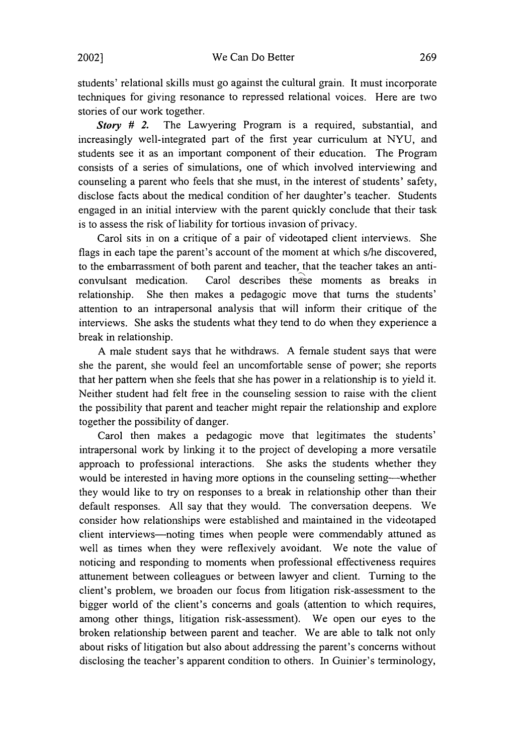students' relational skills must go against the cultural grain. It must incorporate techniques for giving resonance to repressed relational voices. Here are two stories of our work together.

Story **#** 2. The Lawyering Program is a required, substantial, and increasingly well-integrated part of the first year curriculum at NYU, and students see it as an important component of their education. The Program consists of a series of simulations, one of which involved interviewing and counseling a parent who feels that she must, in the interest of students' safety, disclose facts about the medical condition of her daughter's teacher. Students engaged in an initial interview with the parent quickly conclude that their task is to assess the risk of liability for tortious invasion of privacy.

Carol sits in on a critique of a pair of videotaped client interviews. She flags in each tape the parent's account of the moment at which s/he discovered, to the embarrassment of both parent and teacher, that the teacher takes an anticonvulsant medication. Carol describes these moments as breaks in relationship. She then makes a pedagogic move that turns the students' attention to an intrapersonal analysis that will inform their critique of the interviews. She asks the students what they tend to do when they experience a break in relationship.

A male student says that he withdraws. A female student says that were she the parent, she would feel an uncomfortable sense of power; she reports that her pattern when she feels that she has power in a relationship is to yield it. Neither student had felt free in the counseling session to raise with the client the possibility that parent and teacher might repair the relationship and explore together the possibility of danger.

Carol then makes a pedagogic move that legitimates the students' intrapersonal work by linking it to the project of developing a more versatile approach to professional interactions. She asks the students whether they would be interested in having more options in the counseling setting--whether they would like to try on responses to a break in relationship other than their default responses. All say that they would. The conversation deepens. We consider how relationships were established and maintained in the videotaped client interviews-noting times when people were commendably attuned as well as times when they were reflexively avoidant. We note the value of noticing and responding to moments when professional effectiveness requires attunement between colleagues or between lawyer and client. Turning to the client's problem, we broaden our focus from litigation risk-assessment to the bigger world of the client's concerns and goals (attention to which requires, among other things, litigation risk-assessment). We open our eyes to the broken relationship between parent and teacher. We are able to talk not only about risks of litigation but also about addressing the parent's concerns without disclosing the teacher's apparent condition to others. In Guinier's terminology,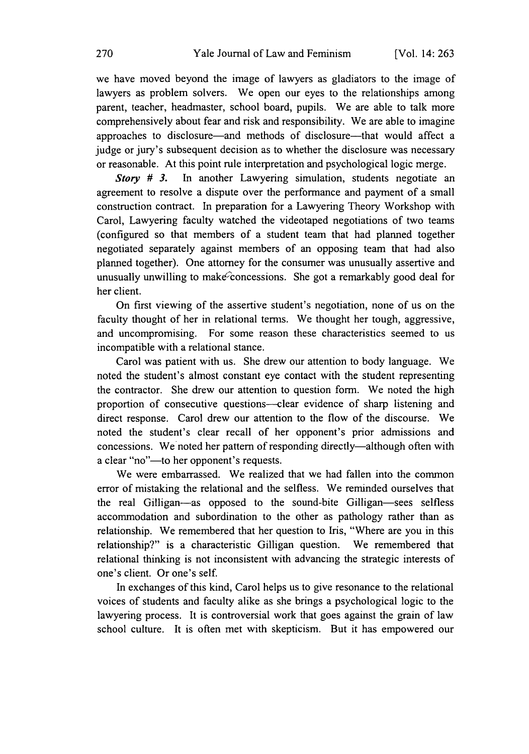we have moved beyond the image of lawyers as gladiators to the image of lawyers as problem solvers. We open our eyes to the relationships among parent, teacher, headmaster, school board, pupils. We are able to talk more comprehensively about fear and risk and responsibility. We are able to imagine approaches to disclosure-and methods of disclosure-that would affect a judge or jury's subsequent decision as to whether the disclosure was necessary or reasonable. At this point rule interpretation and psychological logic merge.

Story **# 3.** In another Lawyering simulation, students negotiate an agreement to resolve a dispute over the performance and payment of a small construction contract. In preparation for a Lawyering Theory Workshop with Carol, Lawyering faculty watched the videotaped negotiations of two teams (configured so that members of a student team that had planned together negotiated separately against members of an opposing team that had also planned together). One attorney for the consumer was unusually assertive and unusually unwilling to make concessions. She got a remarkably good deal for her client.

On first viewing of the assertive student's negotiation, none of us on the faculty thought of her in relational terms. We thought her tough, aggressive, and uncompromising. For some reason these characteristics seemed to us incompatible with a relational stance.

Carol was patient with us. She drew our attention to body language. We noted the student's almost constant eye contact with the student representing the contractor. She drew our attention to question form. We noted the high proportion of consecutive questions-clear evidence of sharp listening and direct response. Carol drew our attention to the flow of the discourse. We noted the student's clear recall of her opponent's prior admissions and concessions. We noted her pattern of responding directly—although often with a clear "no"-to her opponent's requests.

We were embarrassed. We realized that we had fallen into the common error of mistaking the relational and the selfless. We reminded ourselves that the real Gilligan-as opposed to the sound-bite Gilligan-sees selfless accommodation and subordination to the other as pathology rather than as relationship. We remembered that her question to Iris, "Where are you in this relationship?" is a characteristic Gilligan question. We remembered that relational thinking is not inconsistent with advancing the strategic interests of one's client. Or one's self.

In exchanges of this kind, Carol helps us to give resonance to the relational voices of students and faculty alike as she brings a psychological logic to the lawyering process. It is controversial work that goes against the grain of law school culture. It is often met with skepticism. But it has empowered our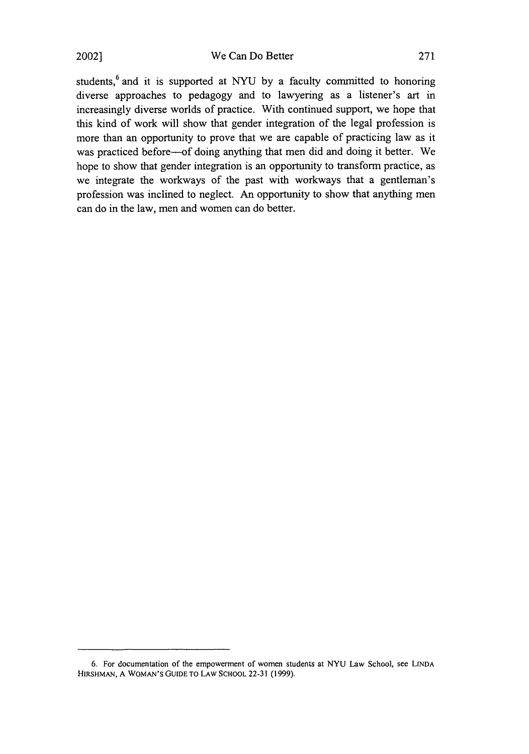We Can Do Better

students, $6$  and it is supported at NYU by a faculty committed to honoring diverse approaches to pedagogy and to lawyering as a listener's art in increasingly diverse worlds of practice. With continued support, we hope that this kind of work will show that gender integration of the legal profession is more than an opportunity to prove that we are capable of practicing law as it was practiced before-of doing anything that men did and doing it better. We hope to show that gender integration is an opportunity to transform practice, as we integrate the workways of the past with workways that a gentleman's profession was inclined to neglect. An opportunity to show that anything men can do in the law, men and women can do better.

<sup>6.</sup> For documentation of the empowerment of women students at NYU Law School, see **LINDA** HIRSHMAN, **A WOMAN'S GUIDE** TO LAW **SCHOOL** 22-31 (1999).